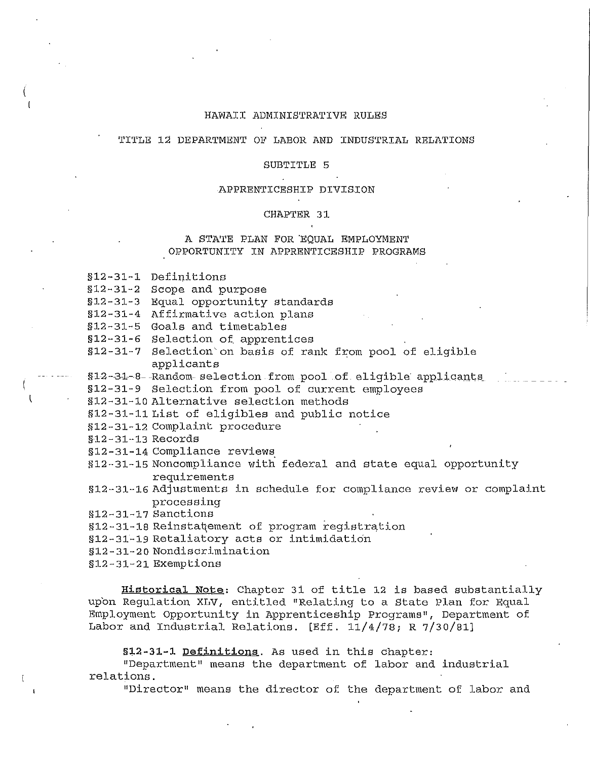## HAWAII ADMINISTRATIVE RULES

# TITLE 12 DEPARTMENT OF LABOR AND INDUSTRIAL RELATIONS

## SUBTITLE 5

#### APPRENTICESHIP DIVISION

#### CHAPTER 31

# A STATE PLAN FOR 'EQUAL EMPLOYMENT OPPORTUNITY IN APPRENTICESHIP PROGRAMS

§12-31-1 Definitions

§12-31-2 Scope and purpose

§12-31-3 Equal opportunity standards

§12-31-4 Affirmative action plans

§12-31-5 Goals and timetables

§12-31-6 Selection of. apprentices

§12-31-7 Selection on basis of rank from pool of eligible applicants

§12-31-8- Random-selection from pool of eligible applicants

§12-31-9 Selection from pool of current employees

§12-31-10 Alternative selection methods

§12-31-11 List of eligibles and public notice

§12-31-12 Complaint procedure

§12-31-13 Records

§12-31-14 Compliance reviews

§12-31-15 Noncompliance with federal and state equal opportunity requirements

§12-31-16 Adjustments in schedule for compliance review or complaint processing

§12-31-17 Sanctions

§12-31-18 Reinstatement of program registration

§12-31-19 Retaliatory acts or intimidation

§12-31-20 Nondiscrimination

§12-31-21 Exemptions

**Historical Note:** Chapter 31 of title 12 is based substantially upon Regulation XLV, entitled "Relating to a State Plan for Equal Employment Opportunity in Apprenticeship Programs", Department of Labor and Industrial Relations. [Eff.  $11/4/78$ ; R  $7/30/81$ ]

**§12-31-1 Definitions.** As used in this chapter:

"Department" means the department of labor and industrial relations.

"Director" means the director of the department of labor and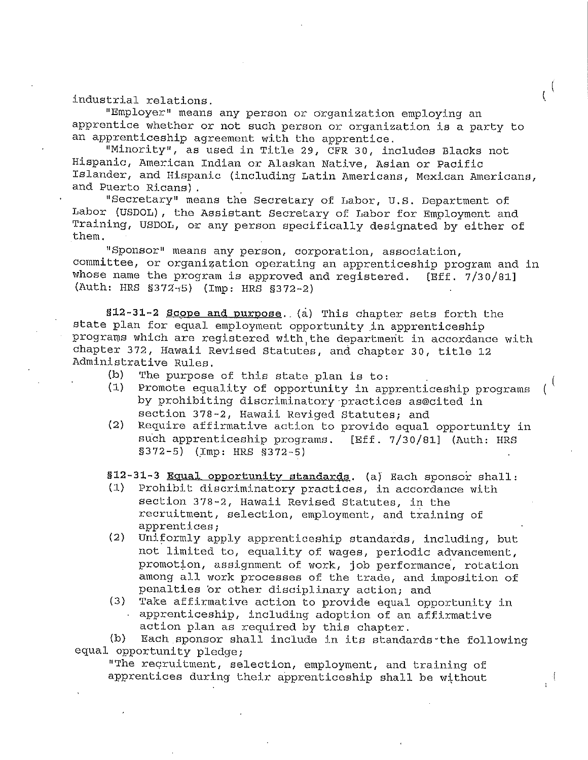industrial relations.

"Employer" means any person or organization employing an apprentice whether or not such person or organization is a party to an apprenticeship agreement with the apprentice.

 $\iota^{\vee}$ 

"Minority", as used in Title 29, CFR 30, includes Blacks not Hispanic, American Indian or Alaskan Native, Asian or Pacific Islander, and Hispanic (including Latin Americans, Mexican Americans, and Puerto Ricans).

"Secretary" means the Secretary of Labor, U.S. Department of Labor (USDOL), the Assistant Secretary of Labor for Employment and Training, USDOL, or any person specifically designated by either of them.

"Sponsor" means any person, corporation, association, committee, or organization operating an apprenticeship program and in whose name the program is approved and registered. [Eff. 7/30/81] (Auth: HRS §372-5) (Imp: HRS §372-2)

**§12-31-2 Scope and purpose ..** (a) This chapter sets forth the state plan for equal employment opportunity in apprenticeship programs which are registered with the department in accordance with chapter 372, Hawaii Revised Statutes, and chapter 30, title 12 Administrative Rules.

- (b) The purpose of this state plan is to:<br>(1) Promote equality of opportunity in any
- Promote equality of opportunity in apprenticeship programs by prohibiting discriminatory-practices as@cited in section 378-2, Hawaii Reviged Statutes; and
- (2) Require affirmative action to provide equal opportunity in such apprenticeship programs. [Eff. 7/30/81] (Auth: HRS §3 72-5) {\_Imp: HRS §372-5)

**§12-31-3 Equal opportunity standards.** (a) Each sponsor shall:<br>(1) Prohibit discriminatory practices, in accordance with

- Prohibit discriminatory practices, in accordance with section 378-2, Hawaii Revised Statutes, in the recruitment, selection, employment, and training of apprentices;
- (2) Uniformly apply apprenticeship standards, including, but not limited to, equality of wages, periodic advancement, promotion, assignment of work, job performance, rotation among all work processes of the trade, and imposition of penalties or other disciplinary action; and
- (3) Take affirmative action to provide equal opportunity in apprenticeship, including adoption of an affirmative action plan as required by this chapter.

(b) Each sponsor shall include in its standards-the following equal opportunity pledge;

"The reqruitment, selection, employment, and training of apprentices during their apprenticeship shall be without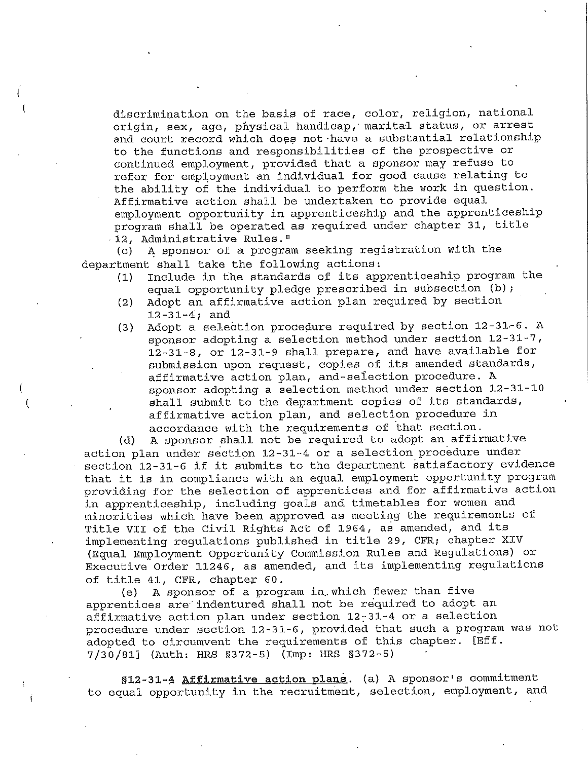discrimination on the basis of race, color, religion, national origin, sex, age, physical handicap, marital status, or arrest and court record which does not·have a substantial relationship to the functions and responsibilities of the prospective or continued employment, provided that a sponsor may refuse to refer for employment an individual for good cause relating to the ability of the individual to perform the work in question. Affirmative action shall be undertaken to provide equal employment opportunity in apprenticeship and the apprenticeship program shall be operated as required under chapter 31, title · 12, Administrative Rules."

(c) A sponsor of a program seeking registration with the department shall take the following actions:

( (

Ť

- (1) Include in the standards of its apprenticeship program the equal opportunity pledge prescribed in subsection (b);
- (2) Adopt an affirmative action plan required by section 12-31-4; and
- (3) Adopt a selection procedure required by section  $12-31-6$ . A sponsor adopting a selection method under section 12-31-7, 12-31-8, or 12-31-9 shall prepare, and have available for submission upon request, copies of its amended standards, affirmative action plan, and-sefection procedure. A sponsor adopting a selection method under section 12-31-10 shall submit to the department copies of its standards, affirmative action plan, and selection procedure in accordance with the requirements of that section.

(d) A sponsor shall not be required to adopt an affirmative action plan under section 12-31-4 or a selection procedure under section 12-31-6 if it submits to the department satisfactory evidence that it is in compliance with an equal employment opportunity program providing for the selection of apprentices and for affirmative action in apprenticeship, including goals and timetables for women and minorities which have been approved as meeting the requirements of Title VII of the Civil Rights Act of 1964, as amended, and its implementing regulations published in title 29, CFR; chapter XIV (Equal Employment Opportunity Commission Rules and Regulations) or Executive Order 11246, as amended, and its implementing regulations of title 41, CFR, chapter 60.

(e) A sponsor of a program in which fewer than five apprentices are indentured shall not be required to adopt an affirmative action plan under section 12~31-4 or a selection procedure under section 12-31-6, provided that such a program was not adopted to circumvent the requirements of this chapter. [Eff. 7/30/81] (Auth: HRS §372-5) (Imp: HRS §372-5)

**§12-31-4 Affirmative action plans.** (a) A sponsor's commitment to equal opportunity in the recruitment, selection, employment, and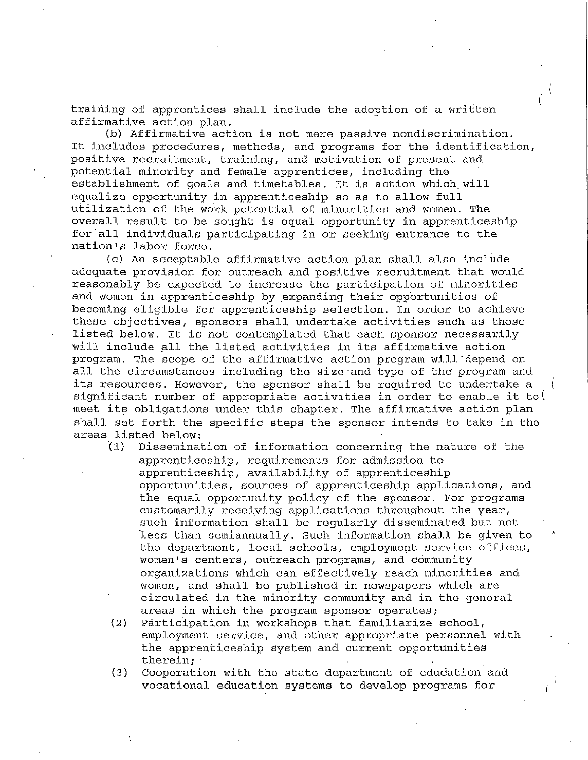training of apprentices shall include the adoption of a written affirmative action plan.

(b) Affirmative action is not mere passive nondiscrimination. It includes procedures, methods, and programs for the identification, positive recruitment, training, and motivation of present and potential minority and female apprentices, including the establishment of goals and timetables. It is action which. will equalize opportunity in apprenticeship so as to allow full utilization of the work potential of minorities and women. The overall result to be sought is equal opportunity in apprenticeship for all individuals participating in or seeking entrance to the nation's labor force.

(c) An acceptable affirmative action plan shall also include adequate provision for outreach and positive recruitment that would reasonably be expected to increase the participation of minorities and women in apprenticeship by expanding their opportunities of becoming eligible for apprenticeship selection. In order to achieve these objectives, sponsors shall undertake activities such as those listed below. It is not contemplated that each sponsor necessarily will include all the listed activities in its affirmative action program. The scope of the affirmative action program will depend on all the circumstances including the size·and type of the program and its resources. However, the sponsor shall be required to undertake a significant number of appropriate activities in order to enable it to  $($ meet its obligations under this chapter. The affirmative action plan shall set forth the specific steps the sponsor intends to take in the areas listed below:<br>(1) Disseminat

- Dissemination of information concerning the nature of the apprenticeship, requirements for admission to apprenticeship, availability of apprenticeship opportunities, sources of apprenticeship applications, and the equal opportunity policy of the sponsor. For programs customarily receiving applications throughout the year, such information shall be regularly disseminated but not less than semiannually. Such information shall be given to the department, local schools, employment service offices, women's centers, outreach programs, and community organizations which can effectively reach minorities and women, and shall be published in newspapers which are circulated in the minority community and in the general areas in which the program sponsor operates;
- (2) Participation in workshops that familiarize school, employment service, and other appropriate personnel with the apprenticeship system and current opportunities therein;·
- (3) Cooperation with the state department of education and vocational education systems to develop programs for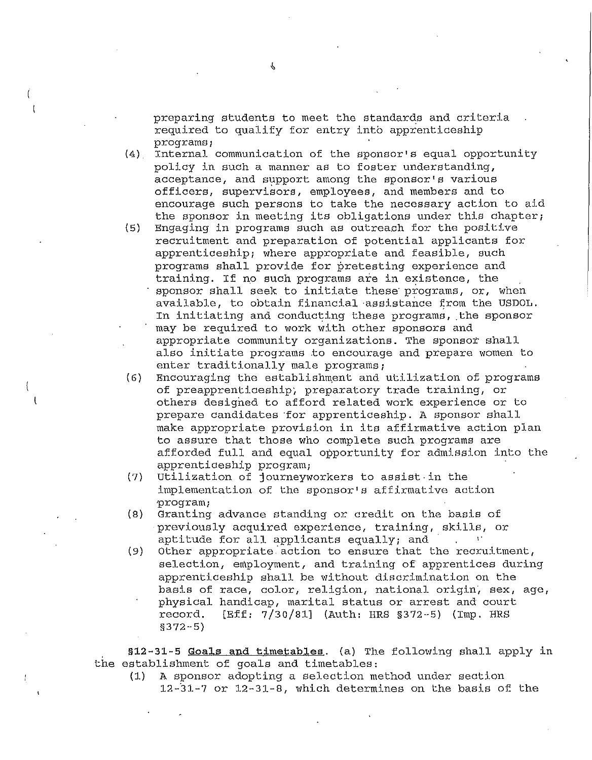preparing students to meet the standards and criteria required to qualify for entry into apprenticeship programs;

(4) Internal communication of the sponsor's equal opportunity policy in such a manner as to foster understanding, acceptance, and support among the sponsor's various officers, supervisors, employees, and members and to encourage such persons to take the necessary action to aid the sponsor in meeting its obligations under this chapter;

- (5) Engaging in programs such as outreach for the positive recruitment and preparation of potential applicants for apprenticeship; where appropriate and feasible, such programs shall provide for pretesting experience and training. If no such programs are in existence, the sponsor shall seek to initiate these programs, or, when available, to obtain financial assistance from the USDOL. In initiating and conducting these programs, the sponsor may be required to work with other sponsors and appropriate community organizations. The sponsor shall also initiate programs to encourage and prepare women to enter traditionally male programs;
- (6) Encouraging the establishment and utilization of programs of preapprenticeship; preparatory trade training, or others designed to afford related work experience or to prepare candidates ·for apprenticeship. A sponsor shall make appropriate provision in its affirmative action plan to assure that those who complete such programs are afforded full and equal opportunity for admission into the apprenticeship program;
- (7) Utilization of journeyworkers to assist-in the implementation of the sponsor's affirmative action ·program;
- (8) Granting advance standing or credit on the basis of previously acquired experience, training, skills, or aptitude for all applicants equally; and
- $(9)$  Other appropriate action to ensure that the recruitment, selection, employment, and training of apprentices during apprenticeship shall be without discrimination on the basis of race, color, religion, national origin, sex, age, physical handicap, marital status or arrest and court record. [Eff: 7/30/81] (Auth: HRS §372-5) (Imp. HRS [Eff: 7/30/81] (Auth: HRS §372-5) (Imp. HRS §372-5)

the establishment of goals and timetables: **§12-31-5 Goals and timetables.** (a) The following shall apply in

(1) A sponsor adopting a selection method under section 12--31-7 or 12-31-8, which determines on the basis of the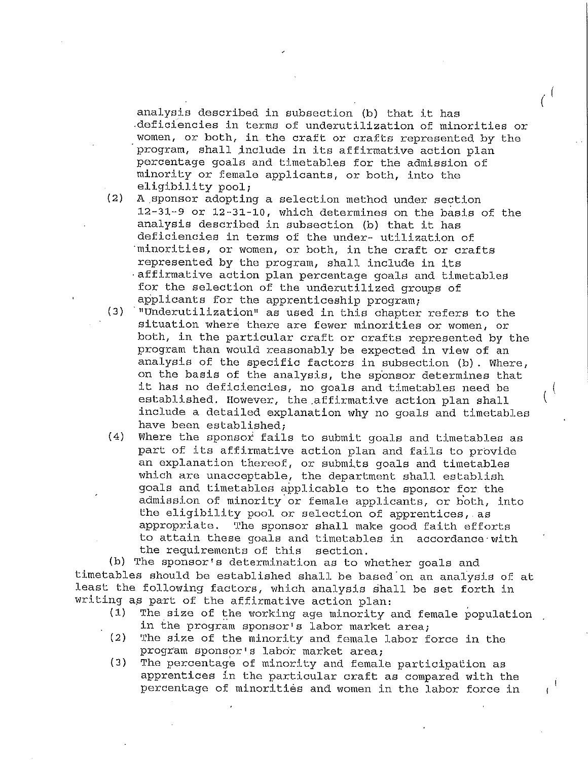analysis described in subsection (b) that it has .deficiencies in terms of underutilization of minorities or women, or both, in the craft or crafts represented by the program, shall include in its affirmative action plan percentage goals and timetables for the admission of minority or female applicants, or both, into the eligibility pool;

- (2) A sponsor adopting a selection method under section 12-31-9 or 12-31-10, which determines on the basis of the analysis described in subsection (b) that it has deficiencies in terms of the under- utilization of ·minorities, or women, or both, in the craft or crafts represented by the program, shall include in its ·affirmative action plan percentage goals and timetables for the selection of the underutilized groups of applicants for the apprenticeship program;
- $(3)$  <sup>n</sup>Underutilization<sup>"</sup> as used in this chapter refers to the situation where there are fewer minorities or women, or both, in the particular craft or crafts represented by the program than would reasonably be expected in view of an analysis of the specific factors in subsection (b). Where, on the basis of the analysis, the sponsor determines that it has no deficiencies, no goals and timetables need be established. However, the affirmative action plan shall include a detailed explanation why no goals and timetables have been established;
- (4) Where the sponsor fails to submit goals and timetables as part of its affirmative action plan and fails to provide an explanation thereof, or submits goals and timetables which are unacceptable, the department shall establish goals and timetables applicable to the sponsor for the admission of minority or female applicants, or both, into the eligibility pool or selection of apprentices,.as appropriate. The sponsor shall make good faith efforts to attain these goals and timetables in accordance·with the requirements of this section.

(b) The sponsor's determination as to whether goals and timetables should be established shall be based on an analysis of at least the following factors, which analysis shall be set forth in writing as part of the affirmative action plan:<br>(1) The size of the working age minority:

- The size of the working age minority and female population in the program sponsor's labor market area;
- (2) The size of the minority and female labor force in the program sponsor• s labor market area;
- (3) The percentage of minority and female participation as apprentices in the particular craft as compared with the percentage of minorities and women in the labor force in

 $\mathbf{f}$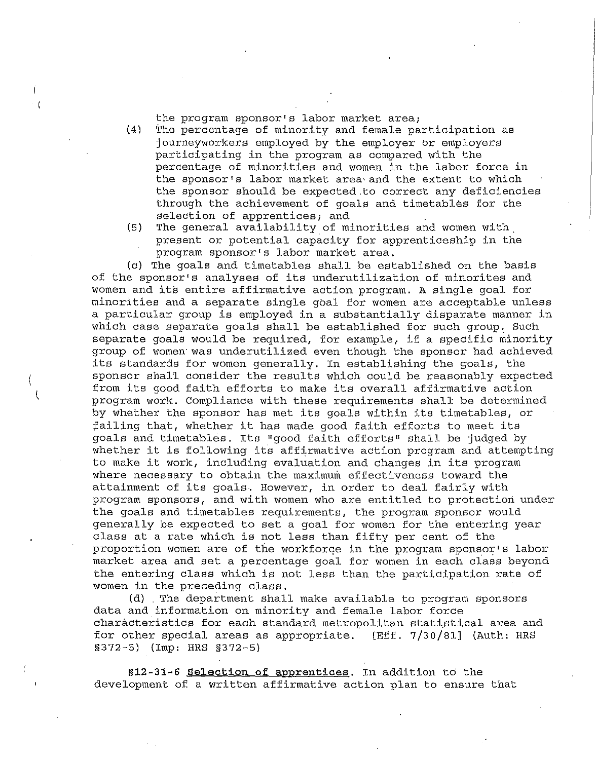the program sponsor's labor market area;

- (4) The percentage of minority and female participation as journeyworkers employed by the employer br employers participating in the program as compared with the percentage of minorities and women in the labor force in the sponsor's labor market area and the extent to which the sponsor should be expected.to correct any deficiencies through the achievement of goals and timetables for the selection of apprentices; and
- (5) The general availability of minorities and women with present or potential capacity for apprenticeship in the program sponsor's labor market area.

(c) The goals and timetables shall be established on the basis of the sponsor's analyses of its underutilization of minorites and women and its entire affirmative action program. A single goal for minorities and a separate single goal for women are acceptable unless a particular group is employed in a substantially disparate manner in which case separate goals shall be established for such group. Such separate goals would be required, for example, if a specific minority group of women·was underutilized even though the sponsor had achieved its standards for women generally. In establishing the goals, the sponsor shall consider the results which could be reasonably expected from its good faith efforts to make its overall affirmative action program work. Compliance with these requirements shall be determined by whether the sponsor has met its goals within its timetables, or failing that, whether it has made good faith efforts to meet its goals and timetables. Its "good faith efforts" shall be judged by whether it is following its affirmative action program and attempting to make it work, including evaluation and changes in its program where necessary to obtain the maximum effectiveness toward the attainment of its goals. However, in order to deal fairly with program sponsors, and with women who are entitled to protection under the goals and timetables requirements, the program sponsor would generally be expected to set a goal for women for the entering year class at a rate which is not less than fifty per cent of the proportion women are of the workforce in the program sponsor's labor market area and set a percentage goal for women in each class beyond the entering class which is not less than the participation rate of women in the preceding class.

(d) The department shall make available to program sponsors data and information on minority and female labor force characteristics for each standard metropolitan statistical area and for other special areas as appropriate. [Eff. 7/30/81] (Auth: HRS §372-5) (Imp: HRS §372-5)

**§12-31-6 Selection of apprentices.** In addition to the development of a written affirmative action plan to ensure that

( (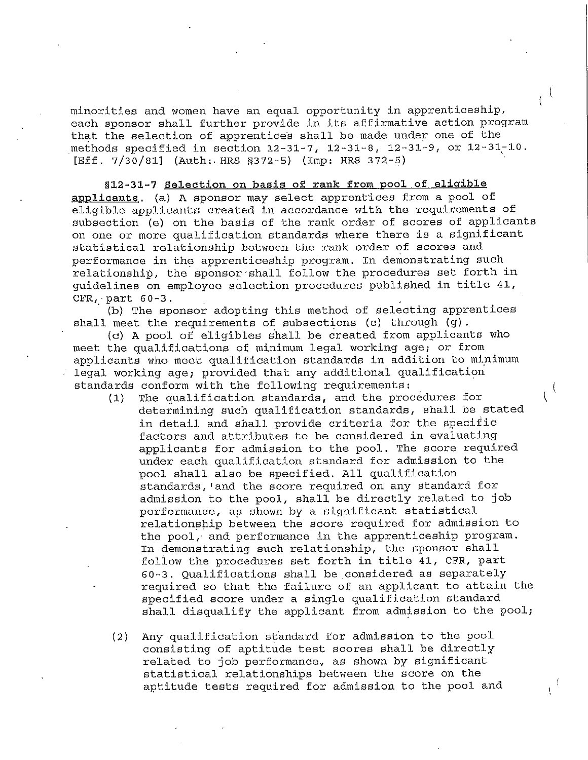minorities and women have an equal opportunity in apprenticeship, each sponsor shall further provide in its affirmative action program that the selection of apprentices shall be made under one of the methods specified in section 12-31-7, 12-31-8, 12-31-9, or 12-31-10. [Eff. 7/30/81] (Auth: HRS §372-5) (Imp: HRS 372-5)

 $\mathfrak{c}$ 

 $\overline{\phantom{a}}$ 

**§12-31-7 Selection on basis of rank from pool of eligible applicants.** (a) A sponsor may select apprent'ices from a pool of eligible applicants created in accordance with the requirements of subsection (e) on the basis of the rank order of scores of applicants on one or more qualification standards where there is a significant statistical relationship between the rank order of scores and performance in the apprenticeship program. In demonstrating such relationship, the sponsor·shall follow the procedures set forth in guidelines on employee selection procedures published in title 41, CFR,-part 60-3.

(b) The sponsor adopting this method of selecting apprentices shall meet the requirements of subsections (c) through  $(g)$ .

(c) A pool of eligibles shall be created from applicants who meet the qualifications of minimum legal working age; or from applicants who meet qualification standards in addition to minimum legal working age; provided that any additional qualification standards conform with the following requirements:

- (1) The qualification standards, and the procedures for determining such qualification standards, shall be stated in detail and shall provide criteria for the specific factors and attributes to be considered in evaluating applicants for admission to the pool. The score required under each qualification standard for admission to the pool shall also be specified. All qualification standards, •and the score required on any standard for admission to the pool, shall be directly related to job performance, as shown by a significant statistical relationship between the score required for admission to the pool, and performance in the apprenticeship program. In demonstrating such relationship, the sponsor shall follow the procedures set forth in title 41, CFR, part 60-3. Qualifications shall be considered as separately required so that the failure of an applicant to attain the specified score under a single qualification standard shall disqualify the applicant from admission to the pool;
- (2) Any qualification st'andard for admission to the pool consisting of aptitude test scores shall be directly related to job performance., as shown by significant statistical relationships between the score on the aptitude tests required for admission to the pool and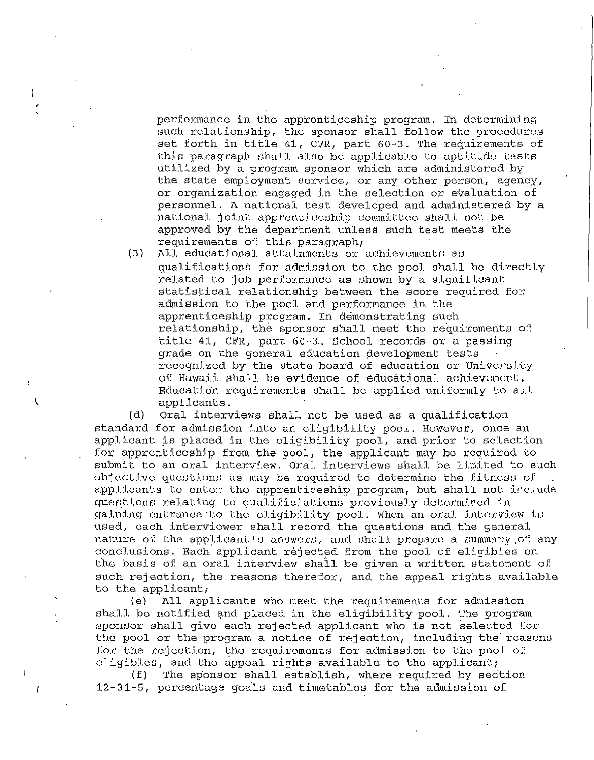performance in the apprenticeship program. In determining such relationship, the sponsor shall follow the procedures set forth in title 41, CFR, part 60-3. The requirements of this paragraph shall also be applicable to aptitude tests utilized by a program sponsor which are administered by the state employment service, or any other person, agency, or organization engaged in the selection or evaluation of personnel. A national test developed and administered by a national joint apprenticeship committee shall not be approved by the department unless such test meets the requirements of this paragraph;

(3) All educational attainments or achievements as qualifications for admission to the pool shall be directly related to job performance as shown by a significant statistical relationship between the score required for admission to the pool and performance in the apprenticeship program. In demonstrating such relationship, the sponsor shall meet the requirements of title 41, CFR, part 60-3. School records or a passing grade on the general education development tests recognized by the state board of education or University of Hawaii shall be evidence of educational achievement. Education requirements shall be applied uniformly to all applicants.

(d) Oral interviews shall not be used as a qualification standard for admission into an eligibility pool. However, once an applicant is placed in the eligibility pool, and prior to selection for apprenticeship from the pool, the applicant may be required to submit to an oral interview. Oral interviews shall be limited to such objective questions as may be required to determine the fitness of applicants to enter the apprenticeship program, but shall not include questions relating to qualificiations previously determined in gaining entrance·to the eligibility pool. When an oral interview is used, each interviewer shall record the questions and the general nature of the applicant's answers, and shall prepare a summary.of any conclusions. Each applicant rejected from the pool of eligibles on the basis of an oral interview shall be given a written statement of such rejection, the reasons therefor, and the appeal rights available to the applicant;

(e) All applicants who meet the requirements for admission shall be notified and placed in the eligibility pool. The program sponsor shall give each rejected applicant who is not selected for the pool or the program a notice of rejection, including the reasons for the rejection, the requirements for admission to the pool of eligibles, and the appeal rights available to the applicant;

(f) The sp'onsor shall establish, where required by section 12-31-5, percentage goals and timetables for the admission of

I (

 $\overline{\mathcal{L}}$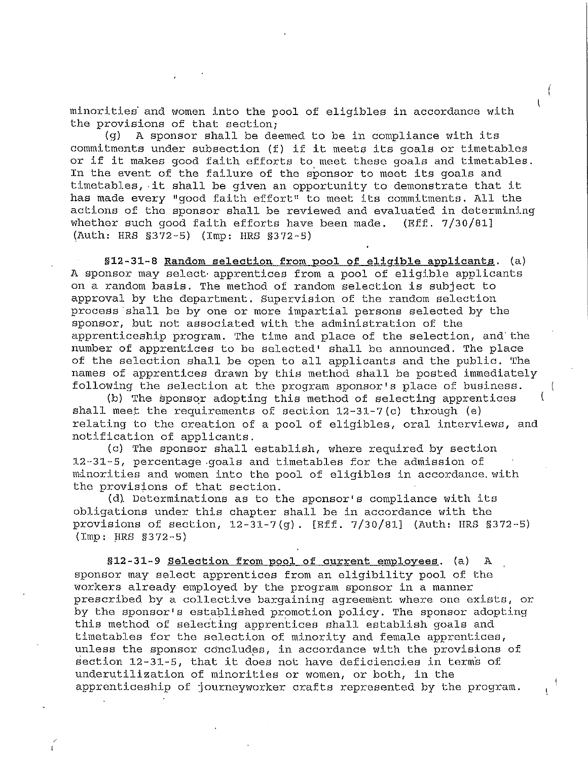minorities and women into the pool of eligibles in accordance with the provisions of that section;

(  $\mathbf{I}$ 

 $\mathbf{r}$ 

(g) A sponsor shall be deemed to be in compliance with its commitments under subsection (f) if it meets its goals or timetables or if it makes good faith efforts to meet these goals and timetables. In the event of the failure of the sponsor to meet its goals and timetables, ·it shall be given an opportunity to demonstrate that it has made every "good faith effort" to meet its commitments. All the actions of the sponsor shall be reviewed and evaluated in determining whether such good faith efforts have been made. (Eff. 7/30/81] (Auth: HRS §372-5) (Imp: HRS §372-5)

§12-31-8 Random selection from pool of eligible applicants. (a) A sponsor may select· apprentices from a pool of eligible applicants on a random basis. The method of random selection is subject to approval by the department. Supervision of the random selection process shall be by one or more impartial persons selected by the sponsor, but not associated with the administration of the apprenticeship program. The time and place of the selection, and'the number of apprentices to be selected' shall be announced. The place of the selection shall be open to all applicants and the public. The names of apprentices drawn by this method shall be posted immediately following the selection at the program sponsor's place of business.

(b) The sponsor adopting this method of selecting apprentices shall meet the requirements of section  $12-31-7$  (c) through (e) relating to the creation of a pool of eligibles, oral interviews, and notification of applicants.

(c) The sponsor shall establish, where required by section 12-31-5, percentage .goals and timetables for the admission of minorities and women into the pool of eligibles in accordance.with the provisions of that section.

(d). Determinations as to the sponsor• s compliance with its obligations under this chapter shall be in accordance with the provisions of section, 12-31-7(g). [Eff. 7/30/81] (Auth: HRS §372-5)  $(Imp: HRS S372-5)$ 

**§12-31-9 Selection from pool of current employees.** (a) A sponsor may select apprentices from an eligibility pool of the workers already employed by the program sponsor in a manner prescribed by a collective bargaining agreement where one exists, or by the sponsor's estaplished promotion policy. The sponsor adopting this method of selecting apprentices shall establish goals and timetables for the selection of minority and female apprentices, unless the sponsor concludes, in accordance with the provisions of section  $12-31-5$ , that it does not have deficiencies in terms of underutilization of minorities or women, or both, in the apprenticeship of journeyworker crafts represented by the program.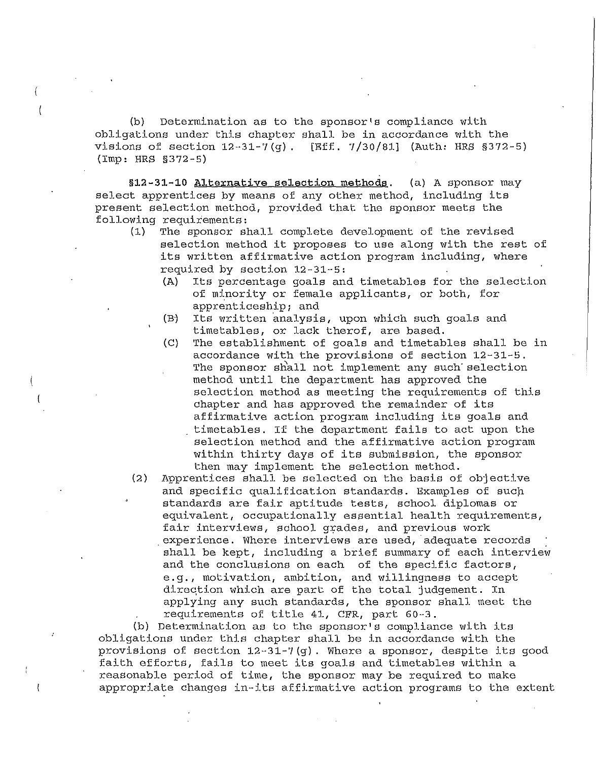{b) Determination as to the sponsor's compliance with obligations under this chapter shall be in accordance with the visions of section 12-31-7 {g) . [Eff. **7** /30/81] (Auth: HRS §372-5) (Imp: HRS §372-5)

(

(

**§12-31-10 Alternative selection methods.** (a) A sponsor may select apprentices by means of any other method, including its present selection method, provided that the sponsor meets the following requirements:

- (1) The sponsor shall complete development of the revised selection method it proposes to use along with the rest of its written affirmative action program including, where required by section 12-31-5:
	- (A) Its percentage goals and timetables for the selection of minority or female applicants, or both, for apprenticeship; and
	- (B) Its written analysis, upon which such goals and timetables, or lack therof, are based.
	- {C) The establishment of goals and timetables shall be in accordance with the provisions of section 12-31-5. The sponsor shall not implement any such selection method until the department has approved the selection method as meeting the requirements of this chapter and has approved the remainder of its affirmative action program including its goals and timetables. If the department fails to act upon the selection method and the affirmative action program within thirty days of its submission, the sponsor then may implement the selection method.
- (2) Apprentices shall be selected on the basis of objective and specific qualification standards. Examples of such standards are fair aptitude tests, school diplomas or equivalent, occupationally essential health requirements, fair interviews, school grades, and previous work experience. Where interviews are used, adequate records shall be kept, including a brief summary of each interview and the conclusions on each of the specific factors, e.g., motivation, ambition, and willingness to accept direqtion which are part of the total judgement. In applying any such standards, the sponsor shall meet the requirements of title 41, CFR, part 60-3.

(b) Determination as to the sponsor's compliance with its obligations under this chapter shall be in accordance with the provisions of section 12-31-?(g). Where a sponsor, despite its good faith efforts, fails to meet its goals and timetables within a reasonable period of time, the sponsor may be required to make appropriate changes in-its affirmative action programs to the extent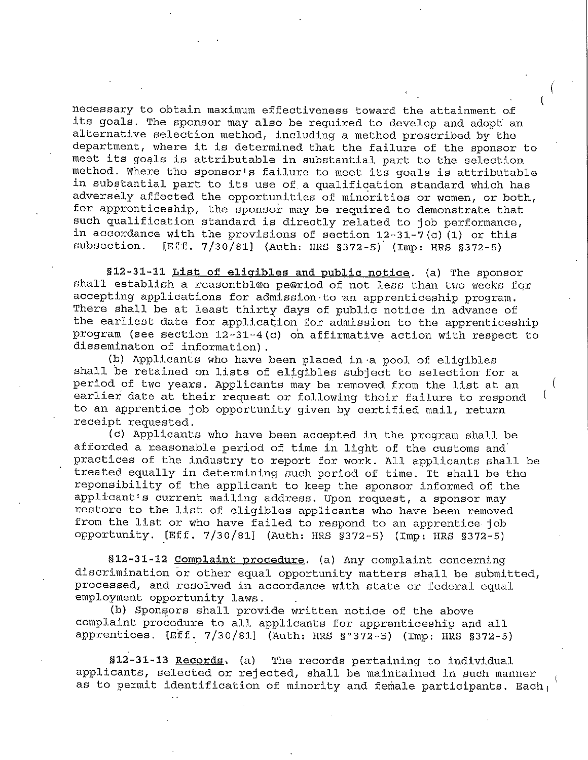necessary to obtain maximum effectiveness toward the attainment o.f its goals. The sponsor may also be required to develop and adopt an alternative selection method, including a method prescribed by the department, where it is determined that the failure of the sponsor to meet its goals is attributable in substantial part to the selection method. Where the sponsor's failure to meet its goals is attributable in substantial part to its use of a qualification standard which has adversely affected the opportunities of minorities or women, or both, for apprenticeship, the sponsor may be required to demonstrate that such qualification standard is directly related to job performance, in accordance with the provisions of section  $12-31-7$  (c) (1) or this subsection. [Eff.  $7/30/811$  (Auth: HRS 8372-5) (Imp. HRS 8372-5) [Eff.  $7/30/81$ ] (Auth: HRS §372-5) (Imp: HRS §372-5).

**§12-31-11 List of eligibles and public notice.** (a) The sponsor shall establish a reasontbl@e pe@riod of not less than two weeks for accepting applications for admission to an apprenticeship program. There shall be at least thirty days of public notice in advance of the earliest date for application for admission to the apprenticeship program (see section 12-31-4(c) on affirmative action with respect to disseminaton of information).

(b) Applicants who have been placed in·a pool of eligibles shall be retained on lists of eligibles subject to selection for a period of two years. Applicants may be removed from the list at an earlier date at their request or following their failure to respond to an apprentice job opportunity given by certified mail, return receipt requested.

(c) Applicants who have been accepted in the program shall be afforded a reasonable period of time in light of the customs and' practices of the industry to report for work. All applicants shall be treated equally in determining such period of time. It shall be the reponsibility of the applicant to keep the sponsor informed of the applicant's current mailing address. Upon request, a sponsor may restore to the list of eligibles applicants who have been removed from the list or who have failed to respond to an apprentice job opportunity. [Eff. 7/30/81] {Auth: HRS §372-5) (Imp: HRS §372-5)

**§12-31-12 Complaint procedure.** (a) Any complaint concerning discrimination or other equal opportunity matters shall be submitted, processed, and resolved in accordance with state or federal equal employment opportunity laws.

(b) Sponsors shall provide written notice of the above complaint procedure to all applicants for apprenticeship and all apprentices. [Eff. 7/30/81] (Auth: HRS §°372-5) (Imp: HRS §372-5)

**§12-31-13 Records,** (a) The records pertaining to individual applicants, selected or rejected, shall be maintained in such manner as to permit identification of minority and female participants. Each  $_1$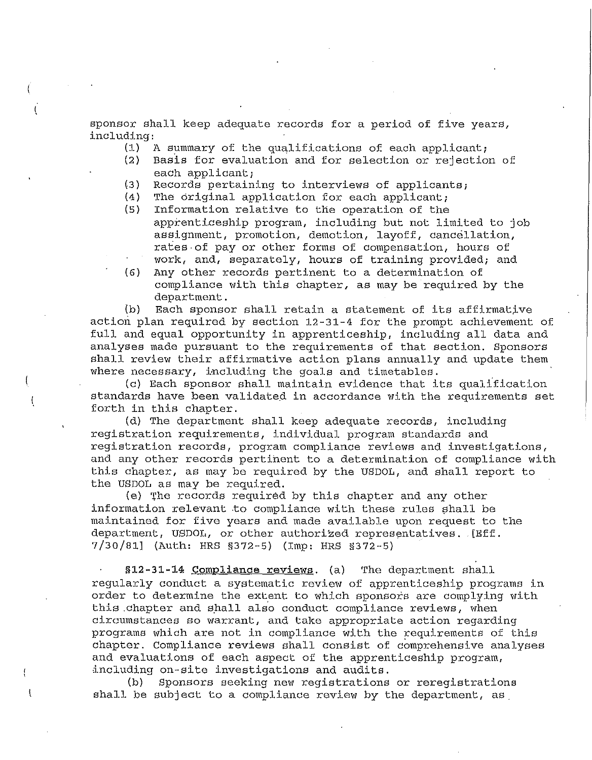sponsor shall keep adequate records for a period of five years, including:

- (1) A summary of the qualifications of each applicant;
- Basis for evaluation and for selection or rejection of each applicant;
- (3) Records pertaining to interviews of applicants;
- (4) The original application for each applicant;
- Information relative to the operation of the apprenticeship program, including but not limited to job assignment, promotion, demotion, layoff, cancellation, rates-of pay or other forms of compensation, hours of work, and, separately, hours of training provided; and
- (6) Any other records pertinent to a determination of compliance with this chapter, as may be required by the department.

{b) Each sponsor shall retain a statement of its affirmative action plan required by section 12-31-4 for the prompt achievement of full and equal opportunity in apprenticeship, including all data and analyses made pursuant to the requirements of that section. Sponsors shall review their affirmative action plans annually and update them where necessary, including the goals and timetables.

(c) Each sponsor shall maintain evidence that its qualification standards have been validated in accordance with the requirements set forth in this chapter.

(d) The department shall keep adequate records, including registration requirements, individual program standards and registration records, program compliance reviews and investigations, and any other records pertinent to a determination of compliance with this chapter, as may be required by the USDOL, and shall report to the USDOL as may be required.

(e) 1he records required by this chapter and any other information relevant to compliance with these rules shall be maintained for five years and made available upon request to the department, USDOL, or other authorized representatives. [Eff. 7/30/81] (Auth: HRS §372-5) (Imp: HRS §372-5)

**§12-31-14 Compliance reviews.** (a) The department shall regularly conduct a systematic review of apprenticeship programs in order to determine the extent to which sponsors are complying with this chapter and shall also conduct compliance reviews, when circumstances so warrant, and take appropriate action regarding programs which are not in compliance with the requirements of this chapter. Compliance reviews shall consist of comprehensive analyses and evaluations of each aspect of the apprenticeship program, including on-site investigations and audits.

(b) Sponsors seeking new registrations or reregistrations shall be subject to a compliance review by the department, as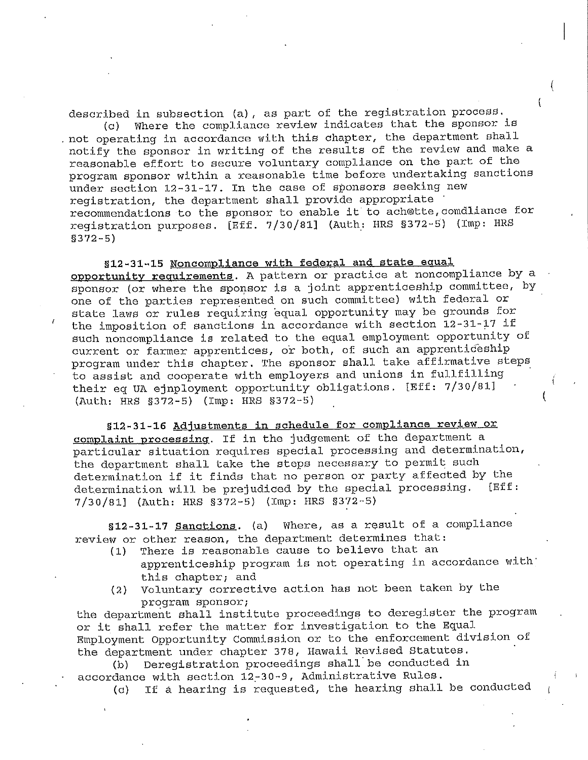described in subsection (a), as part of the registration process. (c) Where the compliance review indicates that the sponsor is . not operating in accordance with this chapter, the department shall notify the sponsor in writing of the results of the review and make a reasonable effort to secure voluntary compliance on the part of the program sponsor within a reasonable time before undertaking sanctions under section 12-31-17. In the case of sponsors seeking new registration, the department shall provide appropriate · recommendations to the sponsor to enable it to ach@tte, comdl.iance for registration purposes. [Eff. 7 /30/81] (Auth\_: HRS §372-5) (Imp: HRS

§372-5)

**§12-31-15 Noncompliance with federal** and **state equal opportunity requirements.** A pattern or practice at noncompliance by a sponsor (or where the sponsor is a joint apprenticeship committee, by one of the parties represented on such committee) with federal or state laws or rules requiring equal opportunity may be grounds for the imposition of sanctions in accordance with section 12-31-17 if such noncompliance is related to the equal employment opportunity of current or farmer apprentices, or both, of such an apprenticeship program under this chapter. The sponsor shall take affirmative steps to assist and cooperate with employers and unions in fullfilling their eq UA ejnployment opportunity obligations. [Eff: 7/30/81] (Auth: HRS §372-5) (Imp: HRS §372-5)

§12-31-16 Adjustments in schedule for compliance review or **complaint processing.** If in the judgement of the department a particular situation requires special processing and determination, the department shall take the steps necessary to permit such determination if it finds that no person or party affected by the<br>determination will be prejudiced by the special processing. [Eff: determination will be prejudiced by the special processing. 7/30/81] (Auth: HRS §372-5) (Imp: HRS §372-5)

**§12-31-17 Sanctions.** (a) Where, as a result of a compliance review or other reason, the department determines that:

- (1) There is reasonable cause to believe that an apprenticeship program is not operating in accordance with' this chapter; and
- (2) Voluntary corrective action has not been taken by the program sponsor;

the department shall institute proceedings to deregister the program or it shall refer the matter for investigation to the Equal Employment Opportunity Commission or to the enforcement division of the department under chapter 378, Hawaii Revised Statutes.

(b) Deregistration proceedings shall be conducted in accordance with section 12-30-9, Administrative Rules.

(c) If a hearing is requested, the hearing shall be conducted